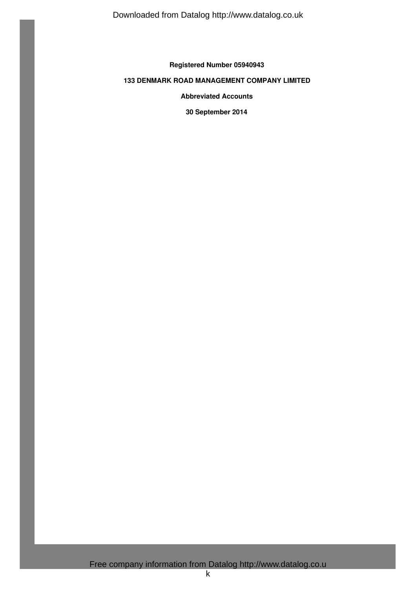**Registered Number 05940943**

# **133 DENMARK ROAD MANAGEMENT COMPANY LIMITED**

**Abbreviated Accounts**

**30 September 2014**

Free company information from Datalog http://www.datalog.co.u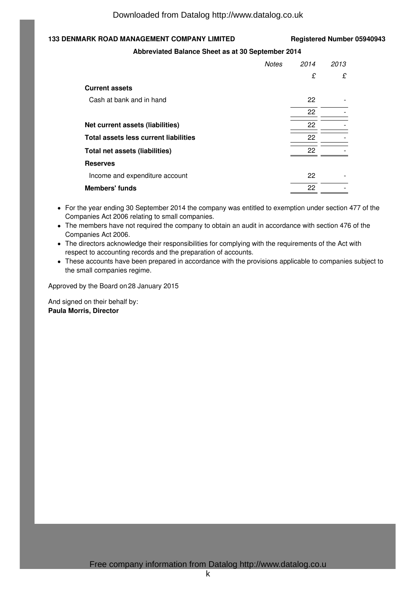# **133 DENMARK ROAD MANAGEMENT COMPANY LIMITED Registered Number 05940943**

### **Abbreviated Balance Sheet as at 30 September 2014**

|                                       | <b>Notes</b> | 2014 | 2013 |
|---------------------------------------|--------------|------|------|
|                                       |              | £    | £    |
| <b>Current assets</b>                 |              |      |      |
| Cash at bank and in hand              |              | 22   |      |
|                                       |              | 22   |      |
| Net current assets (liabilities)      |              | 22   |      |
| Total assets less current liabilities |              | 22   |      |
| Total net assets (liabilities)        |              | 22   |      |
| <b>Reserves</b>                       |              |      |      |
| Income and expenditure account        |              | 22   |      |
| <b>Members' funds</b>                 |              | 22   |      |

- For the year ending 30 September 2014 the company was entitled to exemption under section 477 of the Companies Act 2006 relating to small companies.
- The members have not required the company to obtain an audit in accordance with section 476 of the Companies Act 2006.
- The directors acknowledge their responsibilities for complying with the requirements of the Act with respect to accounting records and the preparation of accounts.
- These accounts have been prepared in accordance with the provisions applicable to companies subject to the small companies regime.

Approved by the Board on 28 January 2015

And signed on their behalf by: **Paula Morris, Director**